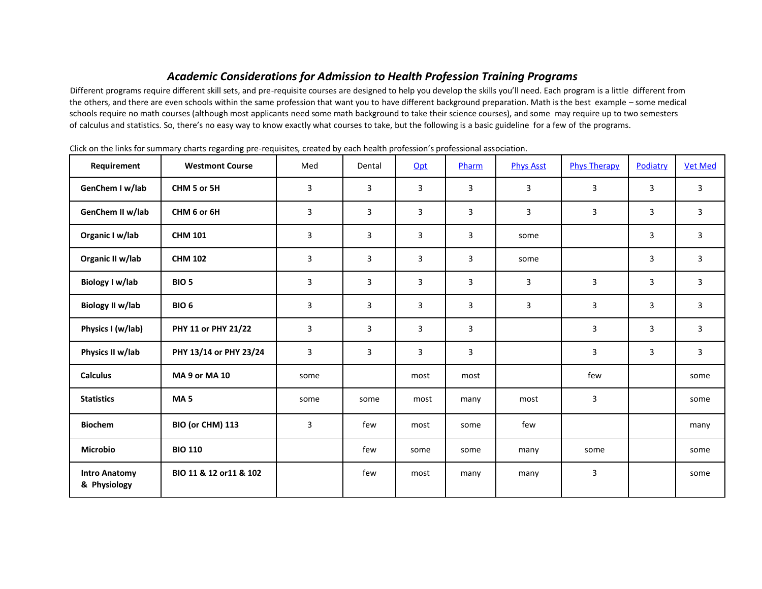## *Academic Considerations for Admission to Health Profession Training Programs*

Different programs require different skill sets, and pre-requisite courses are designed to help you develop the skills you'll need. Each program is a little different from the others, and there are even schools within the same profession that want you to have different background preparation. Math is the best example – some medical schools require no math courses (although most applicants need some math background to take their science courses), and some may require up to two semesters of calculus and statistics. So, there's no easy way to know exactly what courses to take, but the following is a basic guideline for a few of the programs.

| Requirement                          | <b>Westmont Course</b>  | Med  | Dental | Opt  | Pharm          | <b>Phys Asst</b> | <b>Phys Therapy</b> | Podiatry | <b>Vet Med</b> |
|--------------------------------------|-------------------------|------|--------|------|----------------|------------------|---------------------|----------|----------------|
| GenChem I w/lab                      | CHM 5 or 5H             | 3    | 3      | 3    | 3              | 3                | 3                   | 3        | 3              |
| GenChem II w/lab                     | CHM 6 or 6H             | 3    | 3      | 3    | 3              | 3                | 3                   | 3        | 3              |
| Organic I w/lab                      | <b>CHM 101</b>          | 3    | 3      | 3    | 3              | some             |                     | 3        | 3              |
| Organic II w/lab                     | <b>CHM 102</b>          | 3    | 3      | 3    | 3              | some             |                     | 3        | $\mathsf{3}$   |
| Biology I w/lab                      | BIO <sub>5</sub>        | 3    | 3      | 3    | $\overline{3}$ | 3                | 3                   | 3        | 3              |
| <b>Biology II w/lab</b>              | BIO <sub>6</sub>        | 3    | 3      | 3    | 3              | 3                | 3                   | 3        | 3              |
| Physics I (w/lab)                    | PHY 11 or PHY 21/22     | 3    | 3      | 3    | 3              |                  | 3                   | 3        | 3              |
| Physics II w/lab                     | PHY 13/14 or PHY 23/24  | 3    | 3      | 3    | 3              |                  | 3                   | 3        | 3              |
| <b>Calculus</b>                      | <b>MA 9 or MA 10</b>    | some |        | most | most           |                  | few                 |          | some           |
| <b>Statistics</b>                    | MA <sub>5</sub>         | some | some   | most | many           | most             | 3                   |          | some           |
| <b>Biochem</b>                       | BIO (or CHM) 113        | 3    | few    | most | some           | few              |                     |          | many           |
| <b>Microbio</b>                      | <b>BIO 110</b>          |      | few    | some | some           | many             | some                |          | some           |
| <b>Intro Anatomy</b><br>& Physiology | BIO 11 & 12 or 11 & 102 |      | few    | most | many           | many             | 3                   |          | some           |

Click on the links for summary charts regarding pre-requisites, created by each health profession's professional association.